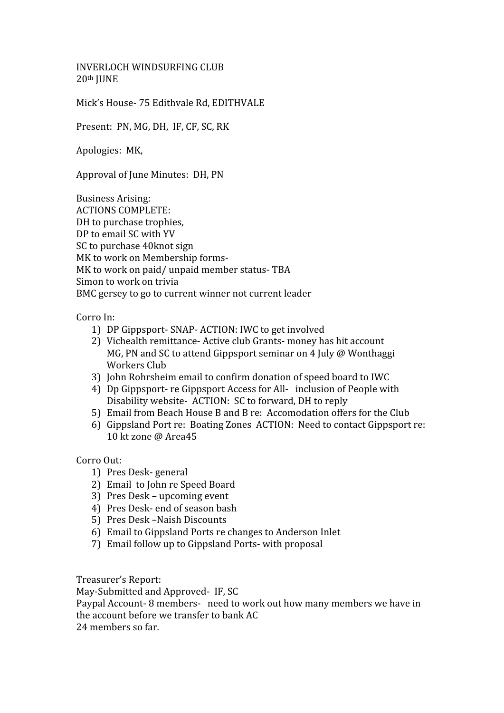INVERLOCH
WINDSURFING
CLUB 20th
JUNE

Mick's
House‐
75
Edithvale
Rd,
EDITHVALE

Present: PN, MG, DH, IF, CF, SC, RK

Apologies:

MK,

Approval of June Minutes: DH, PN

Business
Arising: ACTIONS
COMPLETE: DH
to
purchase
trophies, DP to email SC with YV SC
to
purchase
40knot
sign MK to work on Membership forms-MK to work on paid/unpaid member status-TBA Simon to work on trivia BMC
gersey
to
go
to
current
winner
not
current
leader

Corro
In:

- 1) DP
Gippsport‐
SNAP‐
ACTION:
IWC
to
get
involved
- 2) Vichealth
remittance‐
Active
club
Grants‐
money
has
hit
account MG, PN and SC to attend Gippsport seminar on 4 July @ Wonthaggi Workers
Club
- 3) John
Rohrsheim
email
to
confirm
donation
of
speed
board
to
IWC
- 4) Dp Gippsport- re Gippsport Access for All- inclusion of People with Disability website ACTION: SC to forward, DH to reply
- 5) Email
from
Beach
House
B
and
B
re:

Accomodation
offers
for
the
Club
- 6) Gippsland
Port
re:

Boating
Zones

ACTION:

Need
to
contact
Gippsport
re: 10
kt
zone
@
Area45

Corro
Out:

- 1) Pres
Desk‐
general
- 2) Email

to
John
re
Speed
Board
- 3) Pres
Desk
–
upcoming
event
- 4) Pres
Desk‐
end
of
season
bash
- 5) Pres
Desk
–Naish
Discounts
- 6) Email
to
Gippsland
Ports
re
changes
to
Anderson
Inlet
- 7) Email
follow
up
to
Gippsland
Ports‐
with
proposal

Treasurer's
Report:

May-Submitted and Approved- IF, SC

Paypal Account - 8 members - need to work out how many members we have in the
account
before
we
transfer
to
bank
AC

24
members
so
far.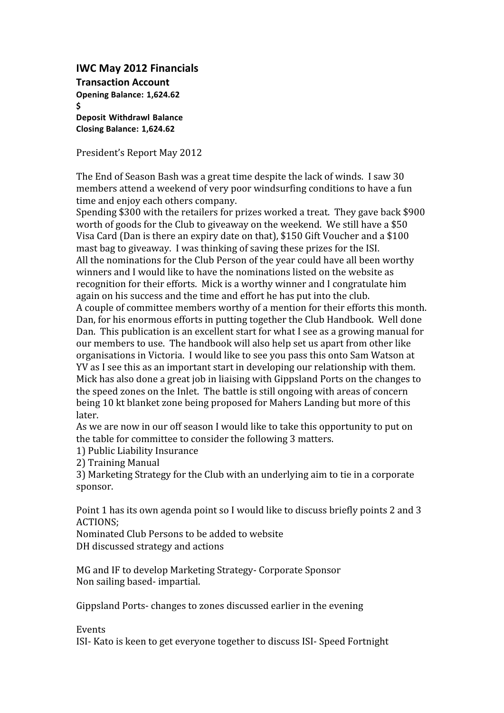## **IWC
May
2012
Financials**

**Transaction
Account Opening
Balance: 1,624.62** \$ **Deposit Withdrawl Balance Closing
Balance: 1,624.62**

President's
Report
May
2012

The
End
of
Season
Bash
was
a
great
time
despite
the
lack
of
winds.

I
saw
30 members
attend
a
weekend
of
very
poor
windsurfing
conditions
to
have
a
fun time
and
enjoy
each
others
company.

Spending \$300 with the retailers for prizes worked a treat. They gave back \$900 worth of goods for the Club to giveaway on the weekend. We still have a \$50 Visa Card (Dan is there an expiry date on that), \$150 Gift Voucher and a \$100 mast
bag
to
giveaway.

I
was
thinking
of
saving
these
prizes
for
the
ISI. All
the
nominations
for
the
Club
Person
of
the
year
could
have
all
been
worthy winners and I would like to have the nominations listed on the website as recognition
for
their
efforts.

Mick
is
a
worthy
winner
and
I
congratulate
him again
on
his
success
and
the
time
and
effort
he
has
put
into
the
club. A
couple
of
committee
members
worthy
of
a
mention
for
their
efforts
this
month. Dan,
for
his
enormous
efforts
in
putting
together
the
Club
Handbook.

Well
done Dan.

This
publication
is
an
excellent
start
for
what
I
see
as
a
growing
manual
for our members to use. The handbook will also help set us apart from other like organisations
in
Victoria.

I
would
like
to
see
you
pass
this
onto
Sam
Watson
at YV as I see this as an important start in developing our relationship with them. Mick has also done a great job in liaising with Gippsland Ports on the changes to the
speed
zones
on
the
Inlet.

The
battle
is
still
ongoing
with
areas
of
concern being
10
kt
blanket
zone
being
proposed
for
Mahers
Landing
but
more
of
this later.

As we are now in our off season I would like to take this opportunity to put on the
table
for
committee
to
consider
the
following
3
matters.

1)
Public
Liability
Insurance

2)
Training
Manual

3)
Marketing
Strategy
for
the
Club
with
an
underlying
aim
to
tie
in
a
corporate sponsor.

Point 1 has its own agenda point so I would like to discuss briefly points 2 and 3 ACTIONS;

Nominated
Club
Persons
to
be
added
to
website DH
discussed
strategy
and
actions

MG
and
IF
to
develop
Marketing
Strategy‐
Corporate
Sponsor Non
sailing
based‐
impartial.

Gippsland
Ports‐
changes
to
zones
discussed
earlier
in
the
evening

Events

ISI‐
Kato
is
keen
to
get
everyone
together
to
discuss
ISI‐
Speed
Fortnight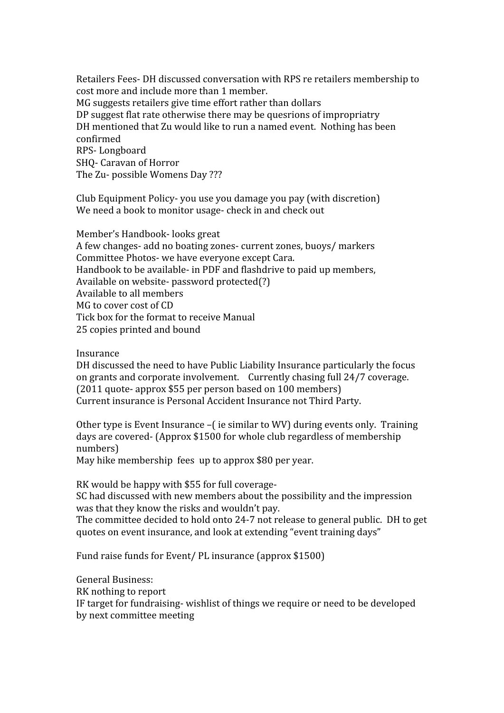Retailers
Fees‐
DH
discussed
conversation
with
RPS
re
retailers
membership
to cost
more
and
include
more
than
1
member. MG
suggests
retailers
give
time
effort
rather
than
dollars DP
suggest
flat
rate
otherwise
there
may
be
quesrions
of
impropriatry DH
mentioned
that
Zu
would
like
to
run
a
named
event.

Nothing
has
been confirmed RPS‐
Longboard SHQ‐
Caravan
of
Horror The
Zu‐
possible
Womens
Day
???

Club
Equipment
Policy‐
you
use
you
damage
you
pay
(with
discretion) We need a book to monitor usage- check in and check out

Member's
Handbook‐
looks
great A
few
changes‐
add
no
boating
zones‐
current
zones,
buoys/
markers Committee
Photos‐
we
have
everyone
except
Cara. Handbook
to
be
available‐
in
PDF
and
flashdrive
to
paid
up
members, Available
on
website‐
password
protected(?) Available
to
all
members MG to cover cost of CD Tick
box
for
the
format
to
receive
Manual 25
copies
printed
and
bound

Insurance

DH
discussed
the
need
to
have
Public
Liability
Insurance
particularly
the
focus on
grants
and
corporate
involvement.

Currently
chasing
full
24/7
coverage. (2011
quote‐
approx
\$55
per
person
based
on
100
members) Current
insurance
is
Personal
Accident
Insurance
not
Third
Party.

Other type is Event Insurance – (ie similar to WV) during events only. Training days
are
covered‐
(Approx
\$1500
for
whole
club
regardless
of
membership numbers)

May hike membership fees up to approx \$80 per year.

RK would be happy with \$55 for full coverage-

SC
had
discussed
with
new
members
about
the
possibility
and
the
impression was
that
they
know
the
risks
and
wouldn't
pay.

The committee decided to hold onto 24-7 not release to general public. DH to get quotes
on
event
insurance,
and
look
at
extending
"event
training
days"

Fund raise funds for Event/ PL insurance (approx \$1500)

General
Business: RK
nothing
to
report IF
target
for
fundraising‐
wishlist
of
things
we
require
or
need
to
be
developed by
next
committee
meeting